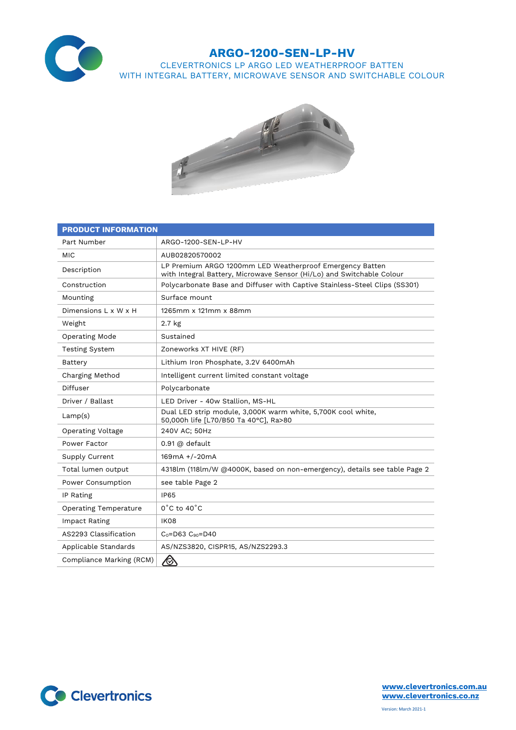

## **ARGO-1200-SEN-LP-HV**

CLEVERTRONICS LP ARGO LED WEATHERPROOF BATTEN WITH INTEGRAL BATTERY, MICROWAVE SENSOR AND SWITCHABLE COLOUR



| <b>PRODUCT INFORMATION</b>   |                                                                                                                                   |  |  |  |
|------------------------------|-----------------------------------------------------------------------------------------------------------------------------------|--|--|--|
| Part Number                  | ARGO-1200-SEN-LP-HV                                                                                                               |  |  |  |
| <b>MIC</b>                   | AUB02820570002                                                                                                                    |  |  |  |
| Description                  | LP Premium ARGO 1200mm LED Weatherproof Emergency Batten<br>with Integral Battery, Microwave Sensor (Hi/Lo) and Switchable Colour |  |  |  |
| Construction                 | Polycarbonate Base and Diffuser with Captive Stainless-Steel Clips (SS301)                                                        |  |  |  |
| Mounting                     | Surface mount                                                                                                                     |  |  |  |
| Dimensions L x W x H         | 1265mm x 121mm x 88mm                                                                                                             |  |  |  |
| Weight                       | 2.7 <sub>kg</sub>                                                                                                                 |  |  |  |
| <b>Operating Mode</b>        | Sustained                                                                                                                         |  |  |  |
| <b>Testing System</b>        | Zoneworks XT HIVE (RF)                                                                                                            |  |  |  |
| Battery                      | Lithium Iron Phosphate, 3.2V 6400mAh                                                                                              |  |  |  |
| Charging Method              | Intelligent current limited constant voltage                                                                                      |  |  |  |
| Diffuser                     | Polycarbonate                                                                                                                     |  |  |  |
| Driver / Ballast             | LED Driver - 40w Stallion, MS-HL                                                                                                  |  |  |  |
| Lamp(s)                      | Dual LED strip module, 3,000K warm white, 5,700K cool white,<br>50,000h life [L70/B50 Ta 40°C], Ra>80                             |  |  |  |
| <b>Operating Voltage</b>     | 240V AC; 50Hz                                                                                                                     |  |  |  |
| Power Factor                 | $0.91$ @ default                                                                                                                  |  |  |  |
| Supply Current               | 169mA +/-20mA                                                                                                                     |  |  |  |
| Total lumen output           | 4318lm (118lm/W @4000K, based on non-emergency), details see table Page 2                                                         |  |  |  |
| Power Consumption            | see table Page 2                                                                                                                  |  |  |  |
| IP Rating                    | <b>IP65</b>                                                                                                                       |  |  |  |
| <b>Operating Temperature</b> | $0^{\circ}$ C to 40 $^{\circ}$ C                                                                                                  |  |  |  |
| Impact Rating                | <b>IK08</b>                                                                                                                       |  |  |  |
| AS2293 Classification        | $C_0 = D63$ $C_{90} = D40$                                                                                                        |  |  |  |
| Applicable Standards         | AS/NZS3820, CISPR15, AS/NZS2293.3                                                                                                 |  |  |  |
| Compliance Marking (RCM)     | $\bigotimes$                                                                                                                      |  |  |  |